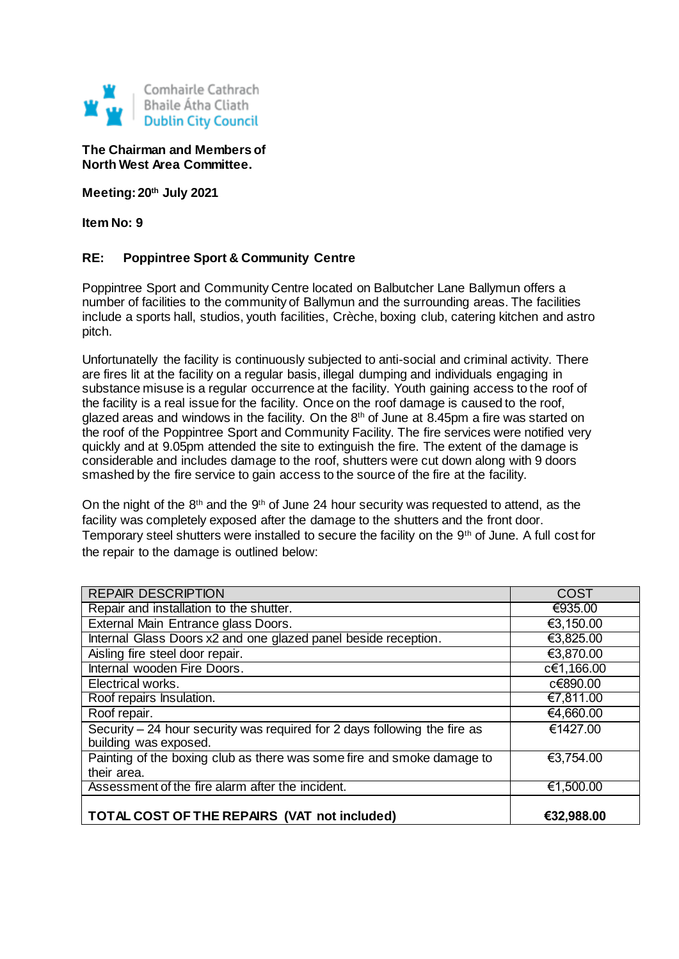

**The Chairman and Members of North West Area Committee.**

**Meeting: 20th July 2021**

**Item No: 9**

## **RE: Poppintree Sport & Community Centre**

Poppintree Sport and Community Centre located on Balbutcher Lane Ballymun offers a number of facilities to the community of Ballymun and the surrounding areas. The facilities include a sports hall, studios, youth facilities, Crèche, boxing club, catering kitchen and astro pitch.

Unfortunatelly the facility is continuously subjected to anti-social and criminal activity. There are fires lit at the facility on a regular basis, illegal dumping and individuals engaging in substance misuse is a regular occurrence at the facility. Youth gaining access to the roof of the facility is a real issue for the facility. Once on the roof damage is caused to the roof, glazed areas and windows in the facility. On the  $8<sup>th</sup>$  of June at 8.45pm a fire was started on the roof of the Poppintree Sport and Community Facility. The fire services were notified very quickly and at 9.05pm attended the site to extinguish the fire. The extent of the damage is considerable and includes damage to the roof, shutters were cut down along with 9 doors smashed by the fire service to gain access to the source of the fire at the facility.

On the night of the 8<sup>th</sup> and the 9<sup>th</sup> of June 24 hour security was requested to attend, as the facility was completely exposed after the damage to the shutters and the front door. Temporary steel shutters were installed to secure the facility on the 9<sup>th</sup> of June. A full cost for the repair to the damage is outlined below:

| <b>REPAIR DESCRIPTION</b>                                                                           | <b>COST</b> |
|-----------------------------------------------------------------------------------------------------|-------------|
| Repair and installation to the shutter.                                                             | €935.00     |
| External Main Entrance glass Doors.                                                                 | €3,150.00   |
| Internal Glass Doors x2 and one glazed panel beside reception.                                      | €3,825.00   |
| Aisling fire steel door repair.                                                                     | €3,870.00   |
| Internal wooden Fire Doors.                                                                         | c€1,166.00  |
| Electrical works.                                                                                   | c€890.00    |
| Roof repairs Insulation.                                                                            | €7,811.00   |
| Roof repair.                                                                                        | €4,660.00   |
| Security $-24$ hour security was required for 2 days following the fire as<br>building was exposed. | €1427.00    |
| Painting of the boxing club as there was some fire and smoke damage to<br>their area.               | €3,754.00   |
| Assessment of the fire alarm after the incident.                                                    | €1,500.00   |
| TOTAL COST OF THE REPAIRS (VAT not included)                                                        | €32,988.00  |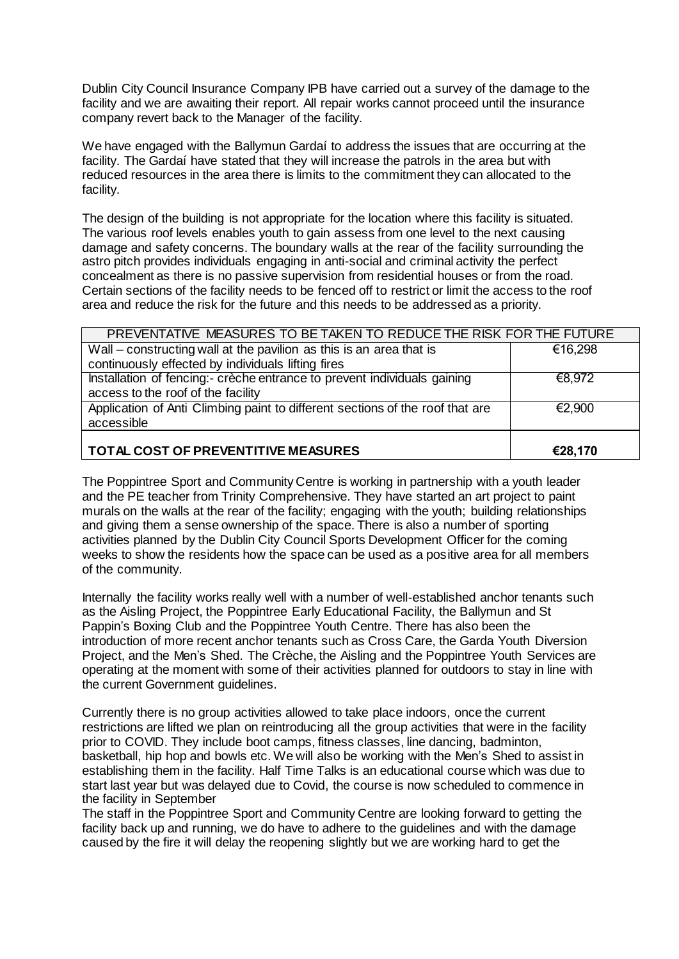Dublin City Council Insurance Company IPB have carried out a survey of the damage to the facility and we are awaiting their report. All repair works cannot proceed until the insurance company revert back to the Manager of the facility.

We have engaged with the Ballymun Gardaí to address the issues that are occurring at the facility. The Gardaí have stated that they will increase the patrols in the area but with reduced resources in the area there is limits to the commitment they can allocated to the facility.

The design of the building is not appropriate for the location where this facility is situated. The various roof levels enables youth to gain assess from one level to the next causing damage and safety concerns. The boundary walls at the rear of the facility surrounding the astro pitch provides individuals engaging in anti-social and criminal activity the perfect concealment as there is no passive supervision from residential houses or from the road. Certain sections of the facility needs to be fenced off to restrict or limit the access to the roof area and reduce the risk for the future and this needs to be addressed as a priority.

| PREVENTATIVE MEASURES TO BE TAKEN TO REDUCE THE RISK FOR THE FUTURE           |         |
|-------------------------------------------------------------------------------|---------|
| Wall – constructing wall at the pavilion as this is an area that is           | €16,298 |
| continuously effected by individuals lifting fires                            |         |
| Installation of fencing:- crèche entrance to prevent individuals gaining      | €8,972  |
| access to the roof of the facility                                            |         |
| Application of Anti Climbing paint to different sections of the roof that are | €2,900  |
| accessible                                                                    |         |
|                                                                               |         |
| TOTAL COST OF PREVENTITIVE MEASURES                                           | €28,170 |

The Poppintree Sport and Community Centre is working in partnership with a youth leader and the PE teacher from Trinity Comprehensive. They have started an art project to paint murals on the walls at the rear of the facility; engaging with the youth; building relationships and giving them a sense ownership of the space. There is also a number of sporting activities planned by the Dublin City Council Sports Development Officer for the coming weeks to show the residents how the space can be used as a positive area for all members of the community.

Internally the facility works really well with a number of well-established anchor tenants such as the Aisling Project, the Poppintree Early Educational Facility, the Ballymun and St Pappin's Boxing Club and the Poppintree Youth Centre. There has also been the introduction of more recent anchor tenants such as Cross Care, the Garda Youth Diversion Project, and the Men's Shed. The Crèche, the Aisling and the Poppintree Youth Services are operating at the moment with some of their activities planned for outdoors to stay in line with the current Government guidelines.

Currently there is no group activities allowed to take place indoors, once the current restrictions are lifted we plan on reintroducing all the group activities that were in the facility prior to COVID. They include boot camps, fitness classes, line dancing, badminton, basketball, hip hop and bowls etc. We will also be working with the Men's Shed to assist in establishing them in the facility. Half Time Talks is an educational course which was due to start last year but was delayed due to Covid, the course is now scheduled to commence in the facility in September

The staff in the Poppintree Sport and Community Centre are looking forward to getting the facility back up and running, we do have to adhere to the guidelines and with the damage caused by the fire it will delay the reopening slightly but we are working hard to get the